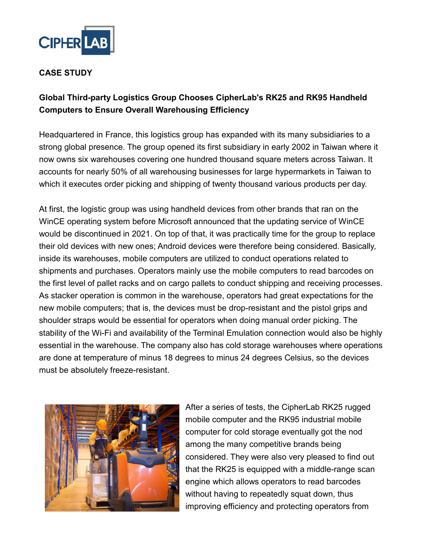

## **CASE STUDY**

# **Global Third-party Logistics Group Chooses CipherLab's RK25 and RK95 Handheld Computers to Ensure Overall Warehousing Efficiency**

Headquartered in France, this logistics group has expanded with its many subsidiaries to a strong global presence. The group opened its first subsidiary in early 2002 in Taiwan where it now owns six warehouses covering one hundred thousand square meters across Taiwan. It accounts for nearly 50% of all warehousing businesses for large hypermarkets in Taiwan to which it executes order picking and shipping of twenty thousand various products per day.

At first, the logistic group was using handheld devices from other brands that ran on the WinCE operating system before Microsoft announced that the updating service of WinCE would be discontinued in 2021. On top of that, it was practically time for the group to replace their old devices with new ones; Android devices were therefore being considered. Basically, inside its warehouses, mobile computers are utilized to conduct operations related to shipments and purchases. Operators mainly use the mobile computers to read barcodes on the first level of pallet racks and on cargo pallets to conduct shipping and receiving processes. As stacker operation is common in the warehouse, operators had great expectations for the new mobile computers; that is, the devices must be drop-resistant and the pistol grips and shoulder straps would be essential for operators when doing manual order picking. The stability of the Wi-Fi and availability of the Terminal Emulation connection would also be highly essential in the warehouse. The company also has cold storage warehouses where operations are done at temperature of minus 18 degrees to minus 24 degrees Celsius, so the devices must be absolutely freeze-resistant.



After a series of tests, the CipherLab RK25 rugged mobile computer and the RK95 industrial mobile computer for cold storage eventually got the nod among the many competitive brands being considered. They were also very pleased to find out that the RK25 is equipped with a middle-range scan engine which allows operators to read barcodes without having to repeatedly squat down, thus improving efficiency and protecting operators from